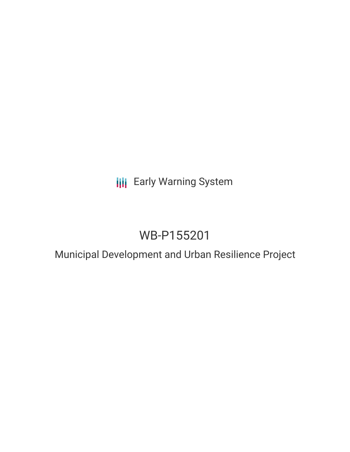**III** Early Warning System

# WB-P155201

# Municipal Development and Urban Resilience Project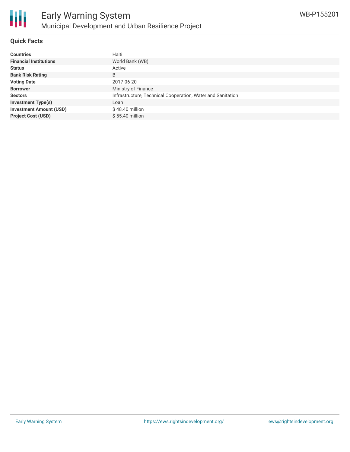

#### **Quick Facts**

Ш

| <b>Countries</b>               | Haiti                                                       |
|--------------------------------|-------------------------------------------------------------|
| <b>Financial Institutions</b>  | World Bank (WB)                                             |
| <b>Status</b>                  | Active                                                      |
| <b>Bank Risk Rating</b>        | B                                                           |
| <b>Voting Date</b>             | 2017-06-20                                                  |
| <b>Borrower</b>                | Ministry of Finance                                         |
| <b>Sectors</b>                 | Infrastructure, Technical Cooperation, Water and Sanitation |
| <b>Investment Type(s)</b>      | Loan                                                        |
| <b>Investment Amount (USD)</b> | \$48.40 million                                             |
| <b>Project Cost (USD)</b>      | \$55.40 million                                             |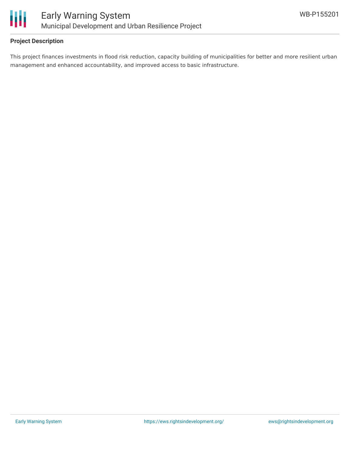

### **Project Description**

This project finances investments in flood risk reduction, capacity building of municipalities for better and more resilient urban management and enhanced accountability, and improved access to basic infrastructure.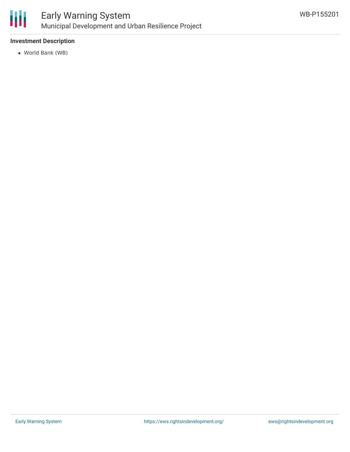

## Early Warning System Municipal Development and Urban Resilience Project

### **Investment Description**

World Bank (WB)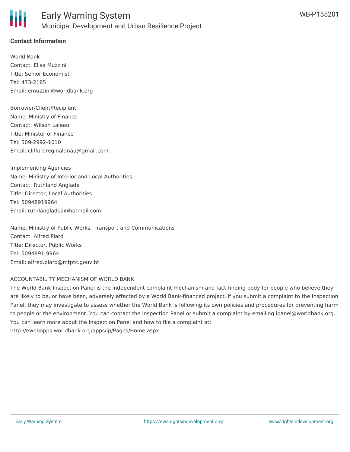

### **Contact Information**

World Bank Contact: Elisa Muzzini Title: Senior Economist Tel: 473-2185 Email: emuzzini@worldbank.org

Borrower/Client/Recipient Name: Ministry of Finance Contact: Wilson Laleau Title: Minister of Finance Tel: 509-2992-1010 Email: cliffordreginaldnau@gmail.com

Implementing Agencies Name: Ministry of Interior and Local Authorities Contact: Ruthland Anglade Title: Director, Local Authorities Tel: 50948919964 Email: ruthlanglade2@hotmail.com

Name: Ministry of Public Works, Transport and Communications Contact: Alfred Piard Title: Director, Public Works Tel: 5094891-9964 Email: alfred.piard@mtptc.gouv.ht

#### ACCOUNTABILITY MECHANISM OF WORLD BANK

The World Bank Inspection Panel is the independent complaint mechanism and fact-finding body for people who believe they are likely to be, or have been, adversely affected by a World Bank-financed project. If you submit a complaint to the Inspection Panel, they may investigate to assess whether the World Bank is following its own policies and procedures for preventing harm to people or the environment. You can contact the Inspection Panel or submit a complaint by emailing ipanel@worldbank.org. You can learn more about the Inspection Panel and how to file a complaint at: http://ewebapps.worldbank.org/apps/ip/Pages/Home.aspx.